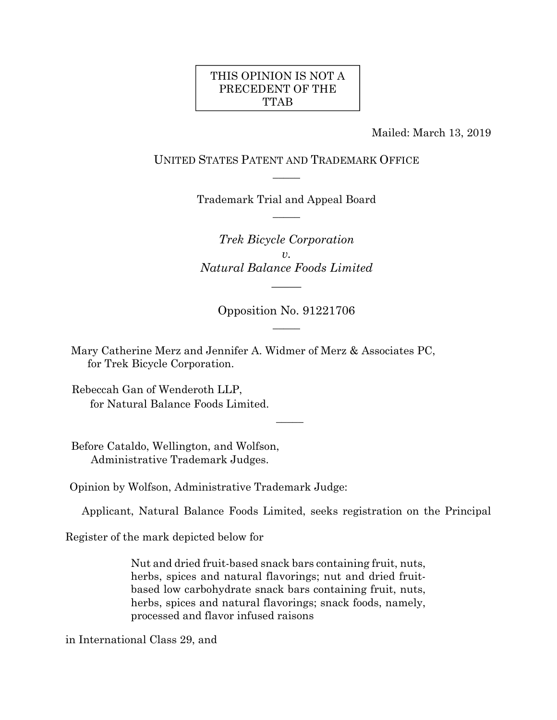### THIS OPINION IS NOT A PRECEDENT OF THE TTAB

Mailed: March 13, 2019

### UNITED STATES PATENT AND TRADEMARK OFFICE  $\overline{\phantom{a}}$

Trademark Trial and Appeal Board  $\overline{\phantom{a}}$ 

*Trek Bicycle Corporation v. Natural Balance Foods Limited* 

*\_\_\_\_\_* 

Opposition No. 91221706  $\overline{\phantom{a}}$ 

Mary Catherine Merz and Jennifer A. Widmer of Merz & Associates PC, for Trek Bicycle Corporation.

Rebeccah Gan of Wenderoth LLP, for Natural Balance Foods Limited.

Before Cataldo, Wellington, and Wolfson, Administrative Trademark Judges.

Opinion by Wolfson, Administrative Trademark Judge:

Applicant, Natural Balance Foods Limited, seeks registration on the Principal

 $\overline{\phantom{a}}$ 

Register of the mark depicted below for

Nut and dried fruit-based snack bars containing fruit, nuts, herbs, spices and natural flavorings; nut and dried fruitbased low carbohydrate snack bars containing fruit, nuts, herbs, spices and natural flavorings; snack foods, namely, processed and flavor infused raisons

in International Class 29, and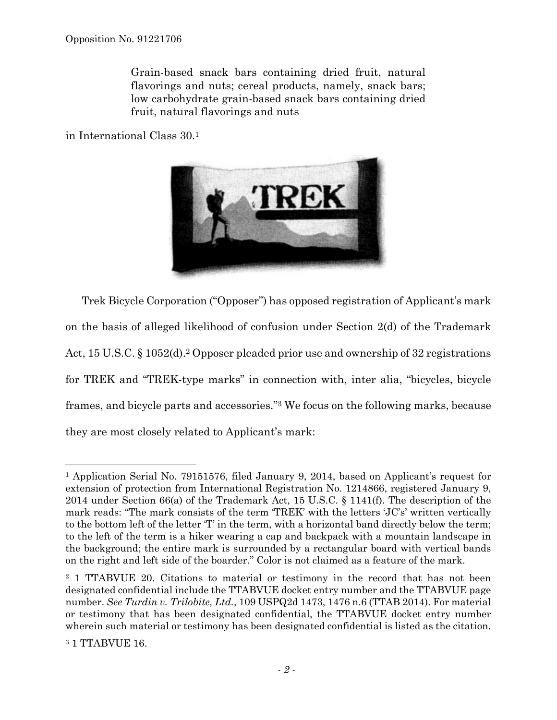Grain-based snack bars containing dried fruit, natural flavorings and nuts; cereal products, namely, snack bars; low carbohydrate grain-based snack bars containing dried fruit, natural flavorings and nuts

in International Class 30.1



Trek Bicycle Corporation ("Opposer") has opposed registration of Applicant's mark on the basis of alleged likelihood of confusion under Section 2(d) of the Trademark Act, 15 U.S.C. § 1052(d).<sup>2</sup> Opposer pleaded prior use and ownership of 32 registrations for TREK and "TREK-type marks" in connection with, inter alia, "bicycles, bicycle frames, and bicycle parts and accessories."3 We focus on the following marks, because they are most closely related to Applicant's mark:

<sup>1</sup> Application Serial No. 79151576, filed January 9, 2014, based on Applicant's request for extension of protection from International Registration No. 1214866, registered January 9, 2014 under Section 66(a) of the Trademark Act, 15 U.S.C. § 1141(f). The description of the mark reads: "The mark consists of the term 'TREK' with the letters 'JC's' written vertically to the bottom left of the letter 'T' in the term, with a horizontal band directly below the term; to the left of the term is a hiker wearing a cap and backpack with a mountain landscape in the background; the entire mark is surrounded by a rectangular board with vertical bands on the right and left side of the boarder." Color is not claimed as a feature of the mark.

<sup>2 1</sup> TTABVUE 20. Citations to material or testimony in the record that has not been designated confidential include the TTABVUE docket entry number and the TTABVUE page number. *See Turdin v. Trilobite, Ltd.*, 109 USPQ2d 1473, 1476 n.6 (TTAB 2014). For material or testimony that has been designated confidential, the TTABVUE docket entry number wherein such material or testimony has been designated confidential is listed as the citation.

<sup>3 1</sup> TTABVUE 16.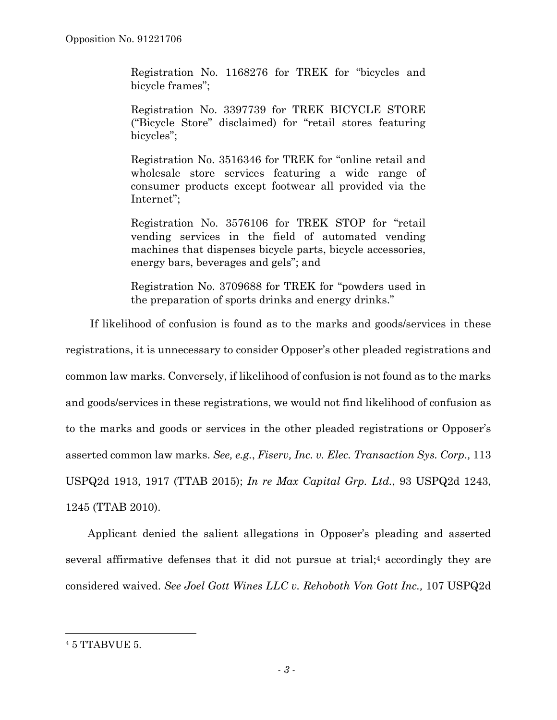Registration No. 1168276 for TREK for "bicycles and bicycle frames";

Registration No. 3397739 for TREK BICYCLE STORE ("Bicycle Store" disclaimed) for "retail stores featuring bicycles";

Registration No. 3516346 for TREK for "online retail and wholesale store services featuring a wide range of consumer products except footwear all provided via the Internet";

Registration No. 3576106 for TREK STOP for "retail vending services in the field of automated vending machines that dispenses bicycle parts, bicycle accessories, energy bars, beverages and gels"; and

Registration No. 3709688 for TREK for "powders used in the preparation of sports drinks and energy drinks."

If likelihood of confusion is found as to the marks and goods/services in these registrations, it is unnecessary to consider Opposer's other pleaded registrations and common law marks. Conversely, if likelihood of confusion is not found as to the marks and goods/services in these registrations, we would not find likelihood of confusion as to the marks and goods or services in the other pleaded registrations or Opposer's asserted common law marks. *See, e.g.*, *Fiserv, Inc. v. Elec. Transaction Sys. Corp.,* 113 USPQ2d 1913, 1917 (TTAB 2015); *In re Max Capital Grp. Ltd.*, 93 USPQ2d 1243, 1245 (TTAB 2010).

Applicant denied the salient allegations in Opposer's pleading and asserted several affirmative defenses that it did not pursue at trial;4 accordingly they are considered waived. *See Joel Gott Wines LLC v. Rehoboth Von Gott Inc.,* 107 USPQ2d

<sup>4 5</sup> TTABVUE 5.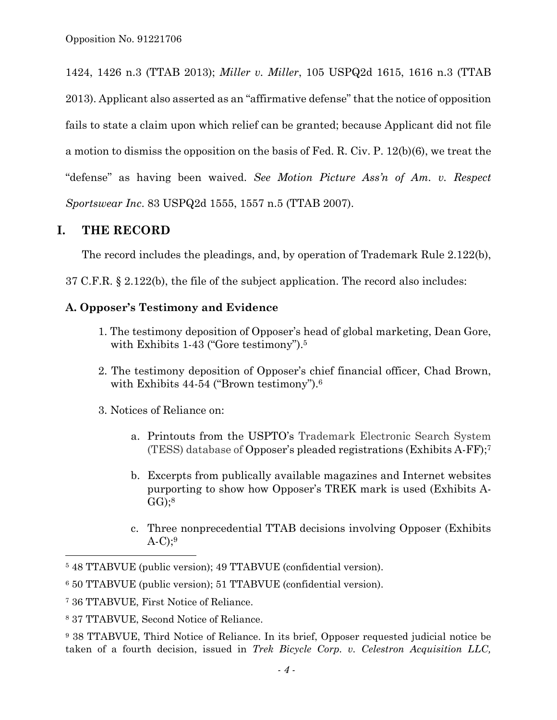1424, 1426 n.3 (TTAB 2013); *Miller v. Miller*, 105 USPQ2d 1615, 1616 n.3 (TTAB 2013). Applicant also asserted as an "affirmative defense" that the notice of opposition fails to state a claim upon which relief can be granted; because Applicant did not file a motion to dismiss the opposition on the basis of Fed. R. Civ. P. 12(b)(6), we treat the "defense" as having been waived. *See Motion Picture Ass'n of Am. v. Respect Sportswear Inc*. 83 USPQ2d 1555, 1557 n.5 (TTAB 2007).

# **I. THE RECORD**

The record includes the pleadings, and, by operation of Trademark Rule 2.122(b),

37 C.F.R. § 2.122(b), the file of the subject application. The record also includes:

## **A. Opposer's Testimony and Evidence**

- 1. The testimony deposition of Opposer's head of global marketing, Dean Gore, with Exhibits 1-43 ("Gore testimony").<sup>5</sup>
- 2. The testimony deposition of Opposer's chief financial officer, Chad Brown, with Exhibits 44-54 ("Brown testimony").<sup>6</sup>

3. Notices of Reliance on:

- a. Printouts from the USPTO's Trademark Electronic Search System (TESS) database of Opposer's pleaded registrations (Exhibits A-FF);7
- b. Excerpts from publically available magazines and Internet websites purporting to show how Opposer's TREK mark is used (Exhibits A- $GG$ ;<sup>8</sup>
- c. Three nonprecedential TTAB decisions involving Opposer (Exhibits  $A-C$ );<sup>9</sup>

<sup>5 48</sup> TTABVUE (public version); 49 TTABVUE (confidential version).

<sup>6 50</sup> TTABVUE (public version); 51 TTABVUE (confidential version).

<sup>7 36</sup> TTABVUE, First Notice of Reliance.

<sup>8 37</sup> TTABVUE, Second Notice of Reliance.

<sup>9 38</sup> TTABVUE, Third Notice of Reliance. In its brief, Opposer requested judicial notice be taken of a fourth decision, issued in *Trek Bicycle Corp. v. Celestron Acquisition LLC,*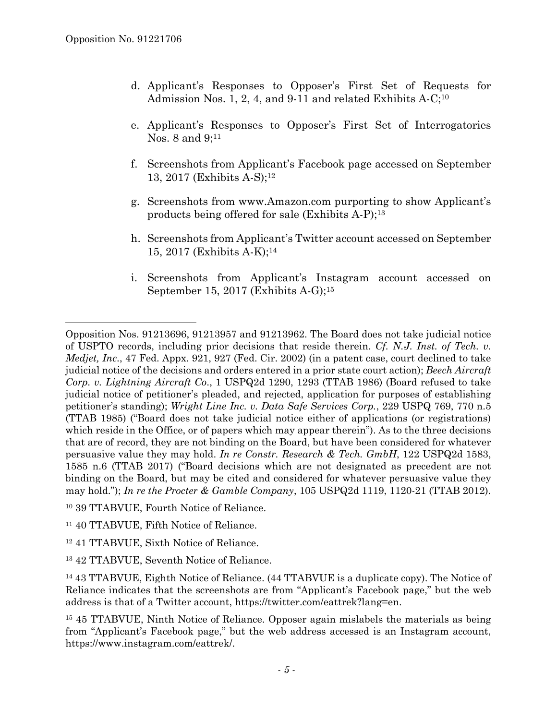- d. Applicant's Responses to Opposer's First Set of Requests for Admission Nos. 1, 2, 4, and 9-11 and related Exhibits A-C;<sup>10</sup>
- e. Applicant's Responses to Opposer's First Set of Interrogatories Nos. 8 and 9;<sup>11</sup>
- f. Screenshots from Applicant's Facebook page accessed on September 13, 2017 (Exhibits A-S);12
- g. Screenshots from www.Amazon.com purporting to show Applicant's products being offered for sale (Exhibits A-P);13
- h. Screenshots from Applicant's Twitter account accessed on September 15, 2017 (Exhibits A-K);14
- i. Screenshots from Applicant's Instagram account accessed on September 15, 2017 (Exhibits A-G);15

Opposition Nos. 91213696, 91213957 and 91213962. The Board does not take judicial notice of USPTO records, including prior decisions that reside therein. *Cf. N.J. Inst. of Tech. v. Medjet, Inc*., 47 Fed. Appx. 921, 927 (Fed. Cir. 2002) (in a patent case, court declined to take judicial notice of the decisions and orders entered in a prior state court action); *Beech Aircraft Corp. v. Lightning Aircraft Co*., 1 USPQ2d 1290, 1293 (TTAB 1986) (Board refused to take judicial notice of petitioner's pleaded, and rejected, application for purposes of establishing petitioner's standing); *Wright Line Inc. v. Data Safe Services Corp.*, 229 USPQ 769, 770 n.5 (TTAB 1985) ("Board does not take judicial notice either of applications (or registrations) which reside in the Office, or of papers which may appear therein"). As to the three decisions that are of record, they are not binding on the Board, but have been considered for whatever persuasive value they may hold. *In re Constr. Research & Tech. GmbH*, 122 USPQ2d 1583, 1585 n.6 (TTAB 2017) ("Board decisions which are not designated as precedent are not binding on the Board, but may be cited and considered for whatever persuasive value they may hold."); *In re the Procter & Gamble Company*, 105 USPQ2d 1119, 1120-21 (TTAB 2012).

<sup>10 39</sup> TTABVUE, Fourth Notice of Reliance.

<sup>11 40</sup> TTABVUE, Fifth Notice of Reliance.

<sup>12 41</sup> TTABVUE, Sixth Notice of Reliance.

<sup>13 42</sup> TTABVUE, Seventh Notice of Reliance.

<sup>14 43</sup> TTABVUE, Eighth Notice of Reliance. (44 TTABVUE is a duplicate copy). The Notice of Reliance indicates that the screenshots are from "Applicant's Facebook page," but the web address is that of a Twitter account, https://twitter.com/eattrek?lang=en.

<sup>15 45</sup> TTABVUE, Ninth Notice of Reliance. Opposer again mislabels the materials as being from "Applicant's Facebook page," but the web address accessed is an Instagram account, https://www.instagram.com/eattrek/.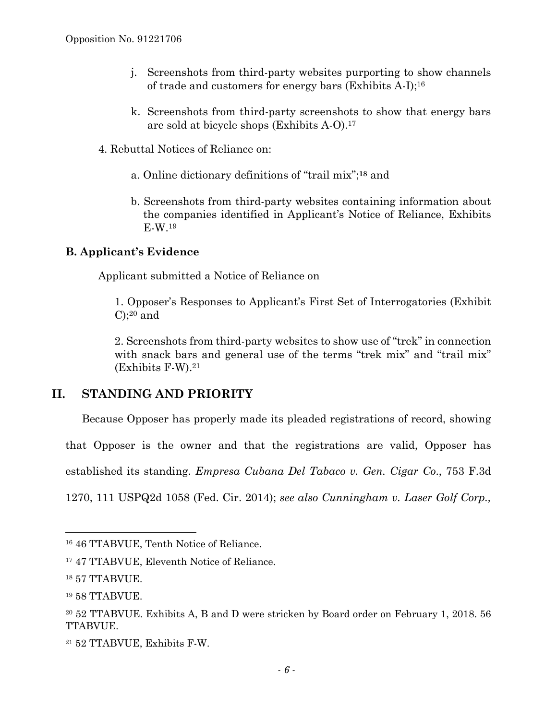- j. Screenshots from third-party websites purporting to show channels of trade and customers for energy bars (Exhibits A-I);16
- k. Screenshots from third-party screenshots to show that energy bars are sold at bicycle shops (Exhibits A-O).17
- 4. Rebuttal Notices of Reliance on:
	- a. Online dictionary definitions of "trail mix";**18** and
	- b. Screenshots from third-party websites containing information about the companies identified in Applicant's Notice of Reliance, Exhibits E-W.19

## **B. Applicant's Evidence**

Applicant submitted a Notice of Reliance on

1. Opposer's Responses to Applicant's First Set of Interrogatories (Exhibit  $C$ ;<sup>20</sup> and

2. Screenshots from third-party websites to show use of "trek" in connection with snack bars and general use of the terms "trek mix" and "trail mix" (Exhibits F-W).21

# **II. STANDING AND PRIORITY**

Because Opposer has properly made its pleaded registrations of record, showing

that Opposer is the owner and that the registrations are valid, Opposer has

established its standing. *Empresa Cubana Del Tabaco v. Gen. Cigar Co*., 753 F.3d

1270, 111 USPQ2d 1058 (Fed. Cir. 2014); *see also Cunningham v. Laser Golf Corp.,* 

l

<sup>16 46</sup> TTABVUE, Tenth Notice of Reliance.

<sup>17 47</sup> TTABVUE, Eleventh Notice of Reliance.

<sup>18 57</sup> TTABVUE.

<sup>19 58</sup> TTABVUE.

<sup>20 52</sup> TTABVUE. Exhibits A, B and D were stricken by Board order on February 1, 2018. 56 TTABVUE.

<sup>21 52</sup> TTABVUE, Exhibits F-W.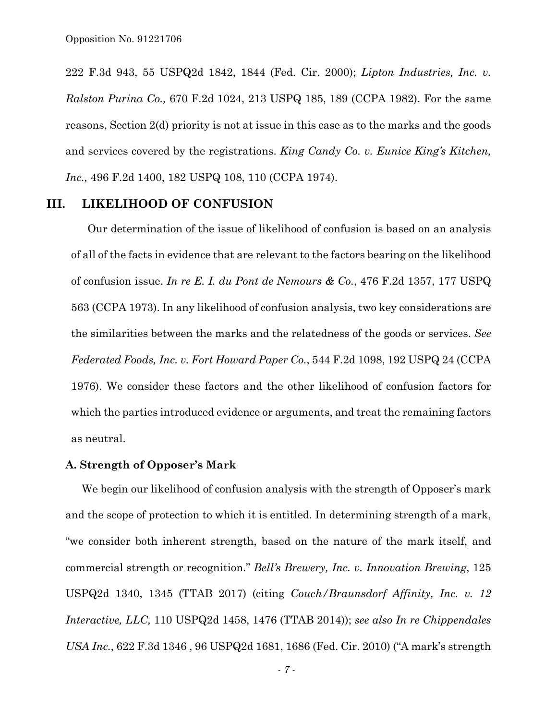222 F.3d 943, 55 USPQ2d 1842, 1844 (Fed. Cir. 2000); *Lipton Industries, Inc. v. Ralston Purina Co.,* 670 F.2d 1024, 213 USPQ 185, 189 (CCPA 1982). For the same reasons, Section 2(d) priority is not at issue in this case as to the marks and the goods and services covered by the registrations. *King Candy Co. v. Eunice King's Kitchen, Inc.,* 496 F.2d 1400, 182 USPQ 108, 110 (CCPA 1974).

### **III. LIKELIHOOD OF CONFUSION**

Our determination of the issue of likelihood of confusion is based on an analysis of all of the facts in evidence that are relevant to the factors bearing on the likelihood of confusion issue. *In re E. I. du Pont de Nemours & Co.*, 476 F.2d 1357, 177 USPQ 563 (CCPA 1973). In any likelihood of confusion analysis, two key considerations are the similarities between the marks and the relatedness of the goods or services. *See Federated Foods, Inc. v. Fort Howard Paper Co.*, 544 F.2d 1098, 192 USPQ 24 (CCPA 1976). We consider these factors and the other likelihood of confusion factors for which the parties introduced evidence or arguments, and treat the remaining factors as neutral.

### **A. Strength of Opposer's Mark**

We begin our likelihood of confusion analysis with the strength of Opposer's mark and the scope of protection to which it is entitled. In determining strength of a mark, "we consider both inherent strength, based on the nature of the mark itself, and commercial strength or recognition." *Bell's Brewery, Inc. v. Innovation Brewing*, 125 USPQ2d 1340, 1345 (TTAB 2017) (citing *Couch/Braunsdorf Affinity, Inc. v. 12 Interactive, LLC,* 110 USPQ2d 1458, 1476 (TTAB 2014)); *see also In re Chippendales USA Inc.*, 622 F.3d 1346 , 96 USPQ2d 1681, 1686 (Fed. Cir. 2010) ("A mark's strength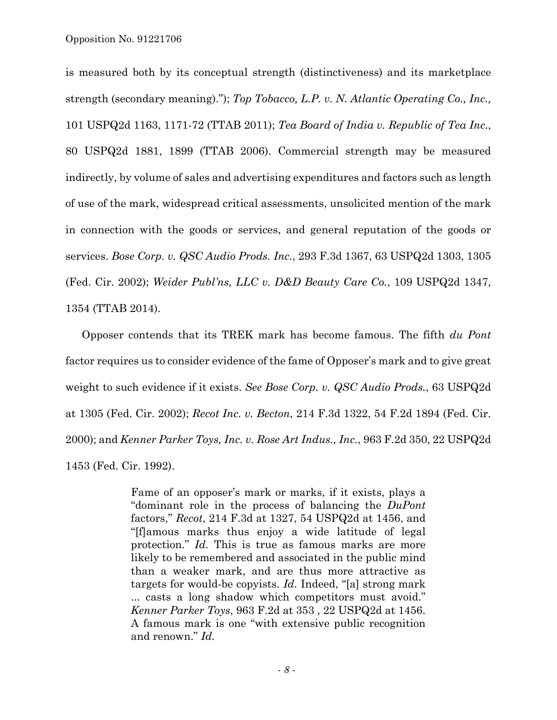is measured both by its conceptual strength (distinctiveness) and its marketplace strength (secondary meaning)."); *Top Tobacco, L.P. v. N. Atlantic Operating Co., Inc.,* 101 USPQ2d 1163, 1171-72 (TTAB 2011); *Tea Board of India v. Republic of Tea Inc*., 80 USPQ2d 1881, 1899 (TTAB 2006). Commercial strength may be measured indirectly, by volume of sales and advertising expenditures and factors such as length of use of the mark, widespread critical assessments, unsolicited mention of the mark in connection with the goods or services, and general reputation of the goods or services. *Bose Corp. v. QSC Audio Prods. Inc.*, 293 F.3d 1367, 63 USPQ2d 1303, 1305 (Fed. Cir. 2002); *Weider Publ'ns, LLC v. D&D Beauty Care Co.*, 109 USPQ2d 1347, 1354 (TTAB 2014).

Opposer contends that its TREK mark has become famous. The fifth *du Pont* factor requires us to consider evidence of the fame of Opposer's mark and to give great weight to such evidence if it exists. *See Bose Corp. v. QSC Audio Prods.*, 63 USPQ2d at 1305 (Fed. Cir. 2002); *Recot Inc. v. Becton*, 214 F.3d 1322, 54 F.2d 1894 (Fed. Cir. 2000); and *Kenner Parker Toys, Inc. v. Rose Art Indus., Inc.*, 963 F.2d 350, 22 USPQ2d 1453 (Fed. Cir. 1992).

> Fame of an opposer's mark or marks, if it exists, plays a "dominant role in the process of balancing the *DuPont* factors," *Recot*, 214 F.3d at 1327, 54 USPQ2d at 1456, and "[f]amous marks thus enjoy a wide latitude of legal protection." *Id.* This is true as famous marks are more likely to be remembered and associated in the public mind than a weaker mark, and are thus more attractive as targets for would-be copyists. *Id.* Indeed, "[a] strong mark ... casts a long shadow which competitors must avoid." *Kenner Parker Toys*, 963 F.2d at 353 , 22 USPQ2d at 1456. A famous mark is one "with extensive public recognition and renown." *Id.*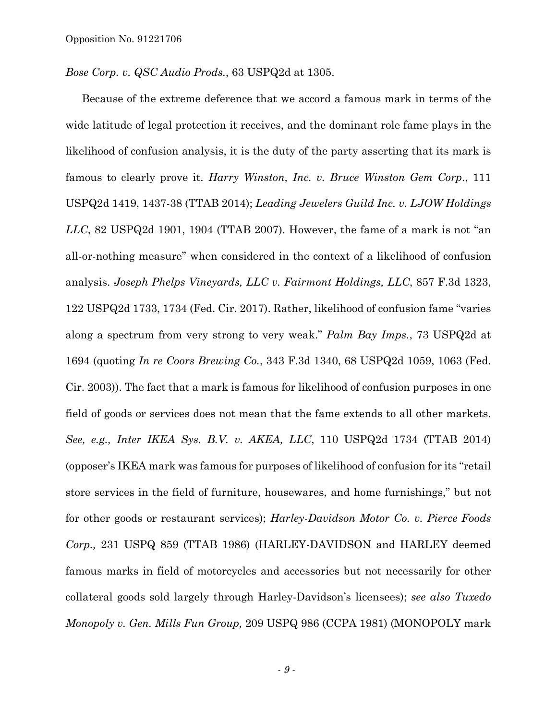*Bose Corp. v. QSC Audio Prods.*, 63 USPQ2d at 1305.

Because of the extreme deference that we accord a famous mark in terms of the wide latitude of legal protection it receives, and the dominant role fame plays in the likelihood of confusion analysis, it is the duty of the party asserting that its mark is famous to clearly prove it. *Harry Winston, Inc. v. Bruce Winston Gem Corp*., 111 USPQ2d 1419, 1437-38 (TTAB 2014); *Leading Jewelers Guild Inc. v. LJOW Holdings LLC*, 82 USPQ2d 1901, 1904 (TTAB 2007). However, the fame of a mark is not "an all-or-nothing measure" when considered in the context of a likelihood of confusion analysis. *Joseph Phelps Vineyards, LLC v. Fairmont Holdings, LLC*, 857 F.3d 1323, 122 USPQ2d 1733, 1734 (Fed. Cir. 2017). Rather, likelihood of confusion fame "varies along a spectrum from very strong to very weak." *Palm Bay Imps.*, 73 USPQ2d at 1694 (quoting *In re Coors Brewing Co.*, 343 F.3d 1340, 68 USPQ2d 1059, 1063 (Fed. Cir. 2003)). The fact that a mark is famous for likelihood of confusion purposes in one field of goods or services does not mean that the fame extends to all other markets. *See, e.g., Inter IKEA Sys. B.V. v. AKEA, LLC*, 110 USPQ2d 1734 (TTAB 2014) (opposer's IKEA mark was famous for purposes of likelihood of confusion for its "retail store services in the field of furniture, housewares, and home furnishings," but not for other goods or restaurant services); *Harley-Davidson Motor Co. v. Pierce Foods Corp.,* 231 USPQ 859 (TTAB 1986) (HARLEY-DAVIDSON and HARLEY deemed famous marks in field of motorcycles and accessories but not necessarily for other collateral goods sold largely through Harley-Davidson's licensees); *see also Tuxedo Monopoly v. Gen. Mills Fun Group,* 209 USPQ 986 (CCPA 1981) (MONOPOLY mark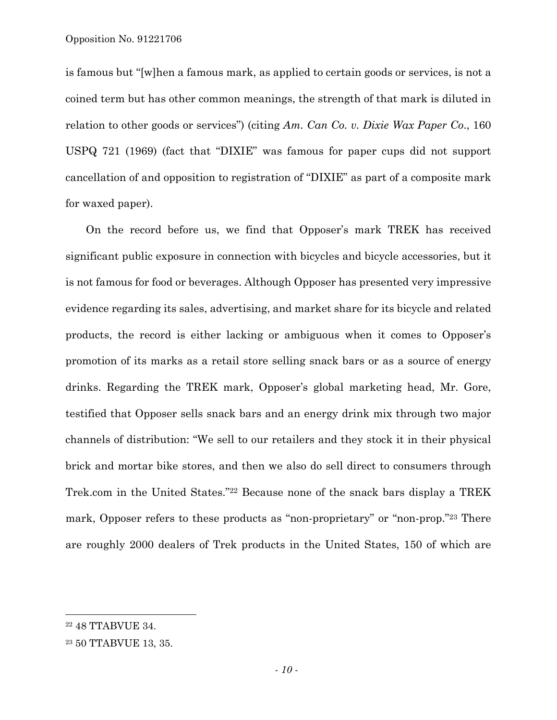is famous but "[w]hen a famous mark, as applied to certain goods or services, is not a coined term but has other common meanings, the strength of that mark is diluted in relation to other goods or services") (citing *Am. Can Co. v. Dixie Wax Paper Co*., 160 USPQ 721 (1969) (fact that "DIXIE" was famous for paper cups did not support cancellation of and opposition to registration of "DIXIE" as part of a composite mark for waxed paper).

On the record before us, we find that Opposer's mark TREK has received significant public exposure in connection with bicycles and bicycle accessories, but it is not famous for food or beverages. Although Opposer has presented very impressive evidence regarding its sales, advertising, and market share for its bicycle and related products, the record is either lacking or ambiguous when it comes to Opposer's promotion of its marks as a retail store selling snack bars or as a source of energy drinks. Regarding the TREK mark, Opposer's global marketing head, Mr. Gore, testified that Opposer sells snack bars and an energy drink mix through two major channels of distribution: "We sell to our retailers and they stock it in their physical brick and mortar bike stores, and then we also do sell direct to consumers through Trek.com in the United States."22 Because none of the snack bars display a TREK mark, Opposer refers to these products as "non-proprietary" or "non-prop."23 There are roughly 2000 dealers of Trek products in the United States, 150 of which are

<sup>22 48</sup> TTABVUE 34.

<sup>23 50</sup> TTABVUE 13, 35.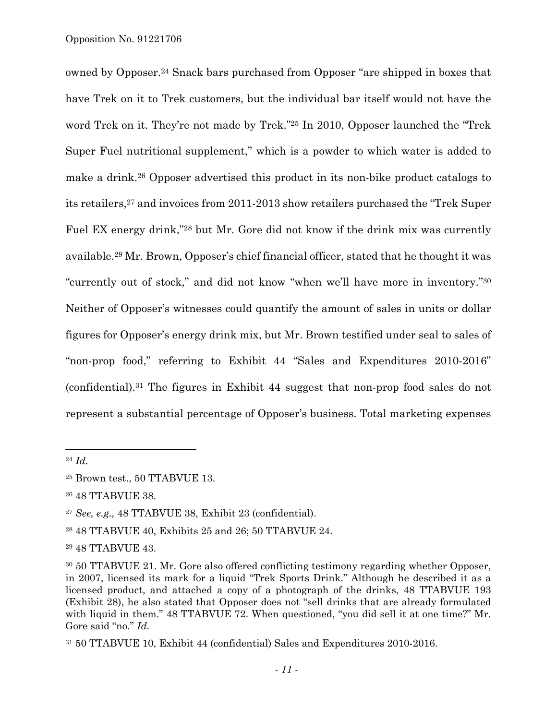owned by Opposer.24 Snack bars purchased from Opposer "are shipped in boxes that have Trek on it to Trek customers, but the individual bar itself would not have the word Trek on it. They're not made by Trek."25 In 2010, Opposer launched the "Trek Super Fuel nutritional supplement," which is a powder to which water is added to make a drink.26 Opposer advertised this product in its non-bike product catalogs to its retailers,27 and invoices from 2011-2013 show retailers purchased the "Trek Super Fuel EX energy drink,"28 but Mr. Gore did not know if the drink mix was currently available.29 Mr. Brown, Opposer's chief financial officer, stated that he thought it was "currently out of stock," and did not know "when we'll have more in inventory."30 Neither of Opposer's witnesses could quantify the amount of sales in units or dollar figures for Opposer's energy drink mix, but Mr. Brown testified under seal to sales of "non-prop food," referring to Exhibit 44 "Sales and Expenditures 2010-2016" (confidential).31 The figures in Exhibit 44 suggest that non-prop food sales do not represent a substantial percentage of Opposer's business. Total marketing expenses

1

<sup>24</sup> *Id.*

<sup>25</sup> Brown test., 50 TTABVUE 13.

<sup>26 48</sup> TTABVUE 38.

<sup>27</sup> *See, e.g.,* 48 TTABVUE 38, Exhibit 23 (confidential).

<sup>28 48</sup> TTABVUE 40, Exhibits 25 and 26; 50 TTABVUE 24.

<sup>29 48</sup> TTABVUE 43.

<sup>30 50</sup> TTABVUE 21. Mr. Gore also offered conflicting testimony regarding whether Opposer, in 2007, licensed its mark for a liquid "Trek Sports Drink." Although he described it as a licensed product, and attached a copy of a photograph of the drinks, 48 TTABVUE 193 (Exhibit 28), he also stated that Opposer does not "sell drinks that are already formulated with liquid in them." 48 TTABVUE 72. When questioned, "you did sell it at one time?" Mr. Gore said "no." *Id.*

<sup>31 50</sup> TTABVUE 10, Exhibit 44 (confidential) Sales and Expenditures 2010-2016.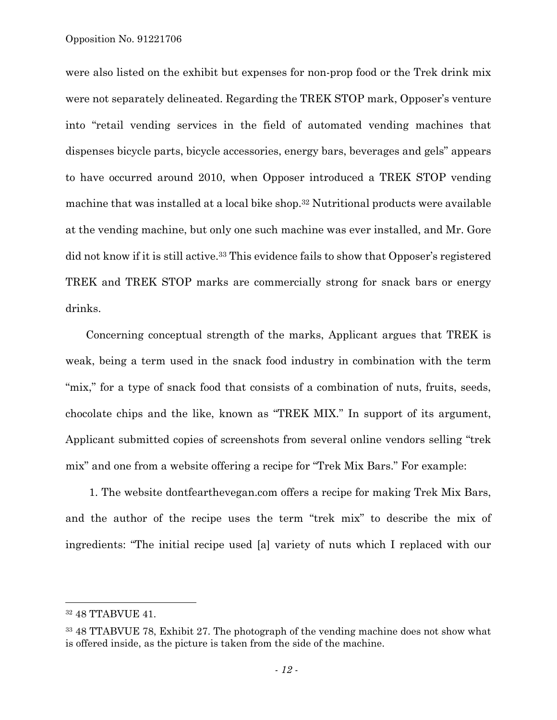were also listed on the exhibit but expenses for non-prop food or the Trek drink mix were not separately delineated. Regarding the TREK STOP mark, Opposer's venture into "retail vending services in the field of automated vending machines that dispenses bicycle parts, bicycle accessories, energy bars, beverages and gels" appears to have occurred around 2010, when Opposer introduced a TREK STOP vending machine that was installed at a local bike shop.32 Nutritional products were available at the vending machine, but only one such machine was ever installed, and Mr. Gore did not know if it is still active.<sup>33</sup> This evidence fails to show that Opposer's registered TREK and TREK STOP marks are commercially strong for snack bars or energy drinks.

Concerning conceptual strength of the marks, Applicant argues that TREK is weak, being a term used in the snack food industry in combination with the term "mix," for a type of snack food that consists of a combination of nuts, fruits, seeds, chocolate chips and the like, known as "TREK MIX." In support of its argument, Applicant submitted copies of screenshots from several online vendors selling "trek mix" and one from a website offering a recipe for "Trek Mix Bars." For example:

 1. The website dontfearthevegan.com offers a recipe for making Trek Mix Bars, and the author of the recipe uses the term "trek mix" to describe the mix of ingredients: "The initial recipe used [a] variety of nuts which I replaced with our

l

<sup>32 48</sup> TTABVUE 41.

<sup>33 48</sup> TTABVUE 78, Exhibit 27. The photograph of the vending machine does not show what is offered inside, as the picture is taken from the side of the machine.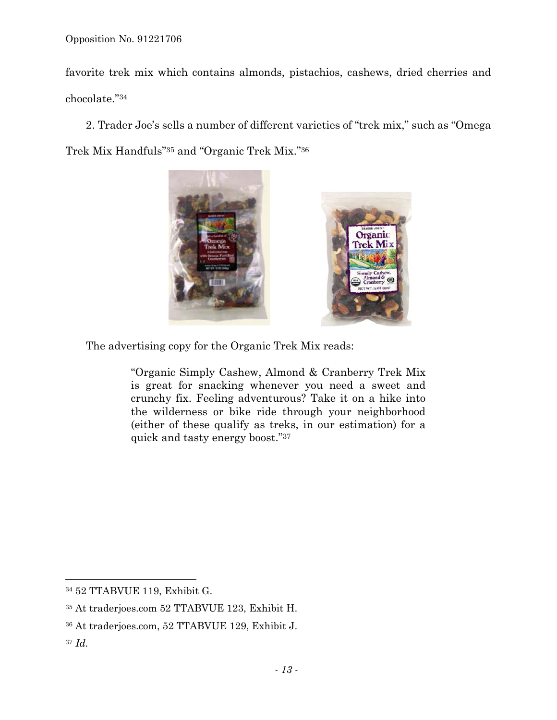favorite trek mix which contains almonds, pistachios, cashews, dried cherries and chocolate."34

2. Trader Joe's sells a number of different varieties of "trek mix," such as "Omega Trek Mix Handfuls"35 and "Organic Trek Mix."36



The advertising copy for the Organic Trek Mix reads:

"Organic Simply Cashew, Almond & Cranberry Trek Mix is great for snacking whenever you need a sweet and crunchy fix. Feeling adventurous? Take it on a hike into the wilderness or bike ride through your neighborhood (either of these qualify as treks, in our estimation) for a quick and tasty energy boost."37

<sup>37</sup> *Id.* 

1

<sup>34 52</sup> TTABVUE 119, Exhibit G.

<sup>35</sup> At traderjoes.com 52 TTABVUE 123, Exhibit H.

<sup>36</sup> At traderjoes.com, 52 TTABVUE 129, Exhibit J.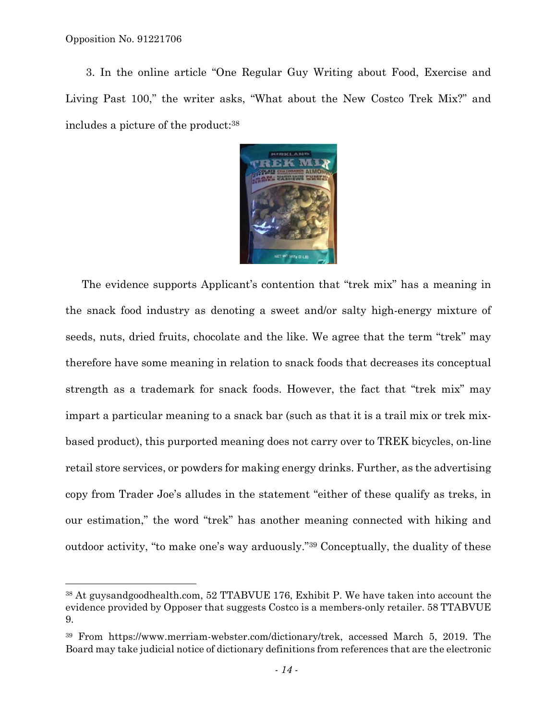1

3. In the online article "One Regular Guy Writing about Food, Exercise and Living Past 100," the writer asks, "What about the New Costco Trek Mix?" and includes a picture of the product:38



The evidence supports Applicant's contention that "trek mix" has a meaning in the snack food industry as denoting a sweet and/or salty high-energy mixture of seeds, nuts, dried fruits, chocolate and the like. We agree that the term "trek" may therefore have some meaning in relation to snack foods that decreases its conceptual strength as a trademark for snack foods. However, the fact that "trek mix" may impart a particular meaning to a snack bar (such as that it is a trail mix or trek mixbased product), this purported meaning does not carry over to TREK bicycles, on-line retail store services, or powders for making energy drinks. Further, as the advertising copy from Trader Joe's alludes in the statement "either of these qualify as treks, in our estimation," the word "trek" has another meaning connected with hiking and outdoor activity, "to make one's way arduously."39 Conceptually, the duality of these

<sup>38</sup> At guysandgoodhealth.com, 52 TTABVUE 176, Exhibit P. We have taken into account the evidence provided by Opposer that suggests Costco is a members-only retailer. 58 TTABVUE 9.

<sup>39</sup> From https://www.merriam-webster.com/dictionary/trek, accessed March 5, 2019. The Board may take judicial notice of dictionary definitions from references that are the electronic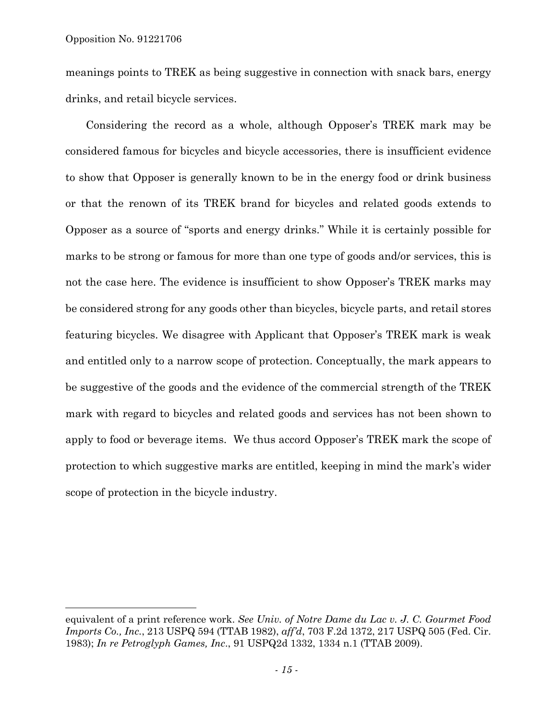l

meanings points to TREK as being suggestive in connection with snack bars, energy drinks, and retail bicycle services.

Considering the record as a whole, although Opposer's TREK mark may be considered famous for bicycles and bicycle accessories, there is insufficient evidence to show that Opposer is generally known to be in the energy food or drink business or that the renown of its TREK brand for bicycles and related goods extends to Opposer as a source of "sports and energy drinks." While it is certainly possible for marks to be strong or famous for more than one type of goods and/or services, this is not the case here. The evidence is insufficient to show Opposer's TREK marks may be considered strong for any goods other than bicycles, bicycle parts, and retail stores featuring bicycles. We disagree with Applicant that Opposer's TREK mark is weak and entitled only to a narrow scope of protection. Conceptually, the mark appears to be suggestive of the goods and the evidence of the commercial strength of the TREK mark with regard to bicycles and related goods and services has not been shown to apply to food or beverage items. We thus accord Opposer's TREK mark the scope of protection to which suggestive marks are entitled, keeping in mind the mark's wider scope of protection in the bicycle industry.

equivalent of a print reference work. *See Univ. of Notre Dame du Lac v. J. C. Gourmet Food Imports Co., Inc.*, 213 USPQ 594 (TTAB 1982), *aff'd*, 703 F.2d 1372, 217 USPQ 505 (Fed. Cir. 1983); *In re Petroglyph Games, Inc*., 91 USPQ2d 1332, 1334 n.1 (TTAB 2009).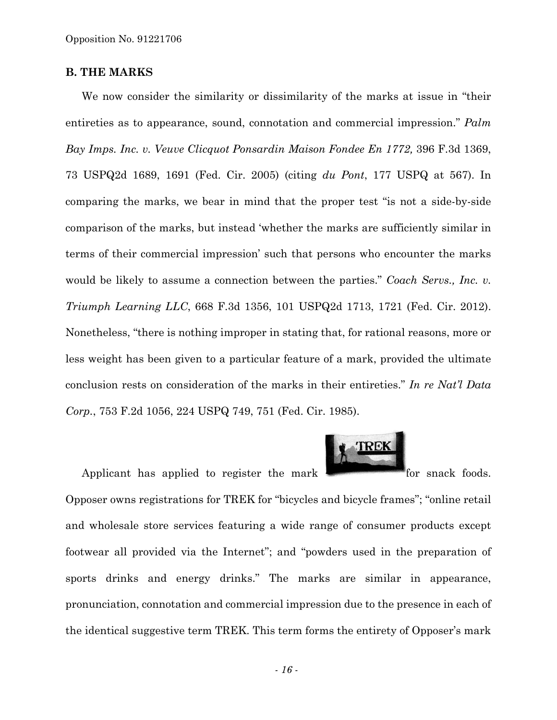### **B. THE MARKS**

We now consider the similarity or dissimilarity of the marks at issue in "their entireties as to appearance, sound, connotation and commercial impression." *Palm Bay Imps. Inc. v. Veuve Clicquot Ponsardin Maison Fondee En 1772,* 396 F.3d 1369, 73 USPQ2d 1689, 1691 (Fed. Cir. 2005) (citing *du Pont*, 177 USPQ at 567). In comparing the marks, we bear in mind that the proper test "is not a side-by-side comparison of the marks, but instead 'whether the marks are sufficiently similar in terms of their commercial impression' such that persons who encounter the marks would be likely to assume a connection between the parties." *Coach Servs., Inc. v. Triumph Learning LLC*, 668 F.3d 1356, 101 USPQ2d 1713, 1721 (Fed. Cir. 2012). Nonetheless, "there is nothing improper in stating that, for rational reasons, more or less weight has been given to a particular feature of a mark, provided the ultimate conclusion rests on consideration of the marks in their entireties." *In re Nat'l Data Corp.*, 753 F.2d 1056, 224 USPQ 749, 751 (Fed. Cir. 1985).



Applicant has applied to register the mark for snack foods.

Opposer owns registrations for TREK for "bicycles and bicycle frames"; "online retail and wholesale store services featuring a wide range of consumer products except footwear all provided via the Internet"; and "powders used in the preparation of sports drinks and energy drinks." The marks are similar in appearance, pronunciation, connotation and commercial impression due to the presence in each of the identical suggestive term TREK. This term forms the entirety of Opposer's mark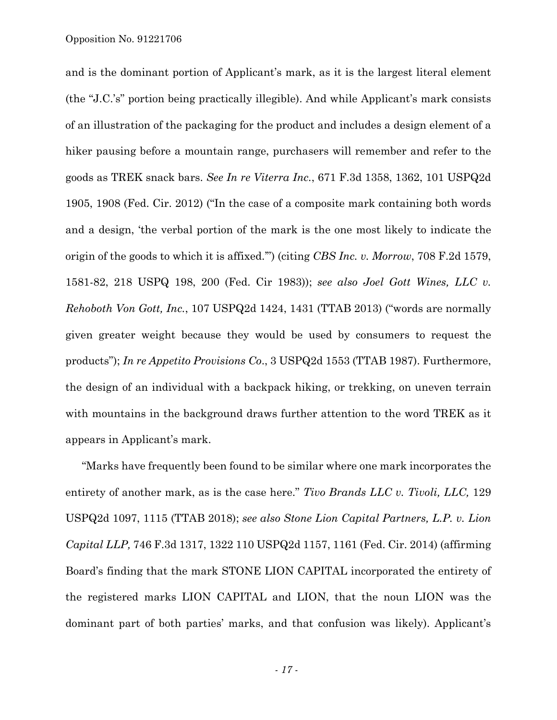and is the dominant portion of Applicant's mark, as it is the largest literal element (the "J.C.'s" portion being practically illegible). And while Applicant's mark consists of an illustration of the packaging for the product and includes a design element of a hiker pausing before a mountain range, purchasers will remember and refer to the goods as TREK snack bars. *See In re Viterra Inc.*, 671 F.3d 1358, 1362, 101 USPQ2d 1905, 1908 (Fed. Cir. 2012) ("In the case of a composite mark containing both words and a design, 'the verbal portion of the mark is the one most likely to indicate the origin of the goods to which it is affixed.'") (citing *CBS Inc. v. Morrow*, 708 F.2d 1579, 1581-82, 218 USPQ 198, 200 (Fed. Cir 1983)); *see also Joel Gott Wines, LLC v. Rehoboth Von Gott, Inc.*, 107 USPQ2d 1424, 1431 (TTAB 2013) ("words are normally given greater weight because they would be used by consumers to request the products"); *In re Appetito Provisions Co*., 3 USPQ2d 1553 (TTAB 1987). Furthermore, the design of an individual with a backpack hiking, or trekking, on uneven terrain with mountains in the background draws further attention to the word TREK as it appears in Applicant's mark.

"Marks have frequently been found to be similar where one mark incorporates the entirety of another mark, as is the case here." *Tivo Brands LLC v. Tivoli, LLC,* 129 USPQ2d 1097, 1115 (TTAB 2018); *see also Stone Lion Capital Partners, L.P. v. Lion Capital LLP,* 746 F.3d 1317, 1322 110 USPQ2d 1157, 1161 (Fed. Cir. 2014) (affirming Board's finding that the mark STONE LION CAPITAL incorporated the entirety of the registered marks LION CAPITAL and LION, that the noun LION was the dominant part of both parties' marks, and that confusion was likely). Applicant's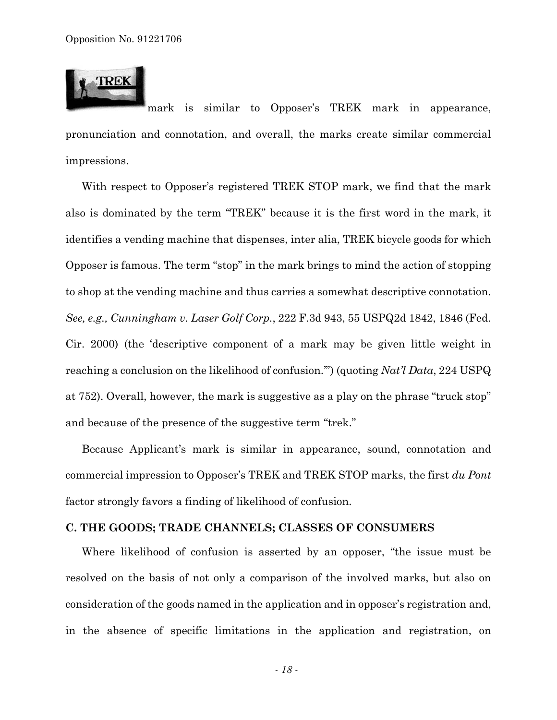

mark is similar to Opposer's TREK mark in appearance, pronunciation and connotation, and overall, the marks create similar commercial impressions.

With respect to Opposer's registered TREK STOP mark, we find that the mark also is dominated by the term "TREK" because it is the first word in the mark, it identifies a vending machine that dispenses, inter alia, TREK bicycle goods for which Opposer is famous. The term "stop" in the mark brings to mind the action of stopping to shop at the vending machine and thus carries a somewhat descriptive connotation. *See, e.g., Cunningham v. Laser Golf Corp.*, 222 F.3d 943, 55 USPQ2d 1842, 1846 (Fed. Cir. 2000) (the 'descriptive component of a mark may be given little weight in reaching a conclusion on the likelihood of confusion.'") (quoting *Nat'l Data*, 224 USPQ at 752). Overall, however, the mark is suggestive as a play on the phrase "truck stop" and because of the presence of the suggestive term "trek."

Because Applicant's mark is similar in appearance, sound, connotation and commercial impression to Opposer's TREK and TREK STOP marks, the first *du Pont*  factor strongly favors a finding of likelihood of confusion.

#### **C. THE GOODS; TRADE CHANNELS; CLASSES OF CONSUMERS**

Where likelihood of confusion is asserted by an opposer, "the issue must be resolved on the basis of not only a comparison of the involved marks, but also on consideration of the goods named in the application and in opposer's registration and, in the absence of specific limitations in the application and registration, on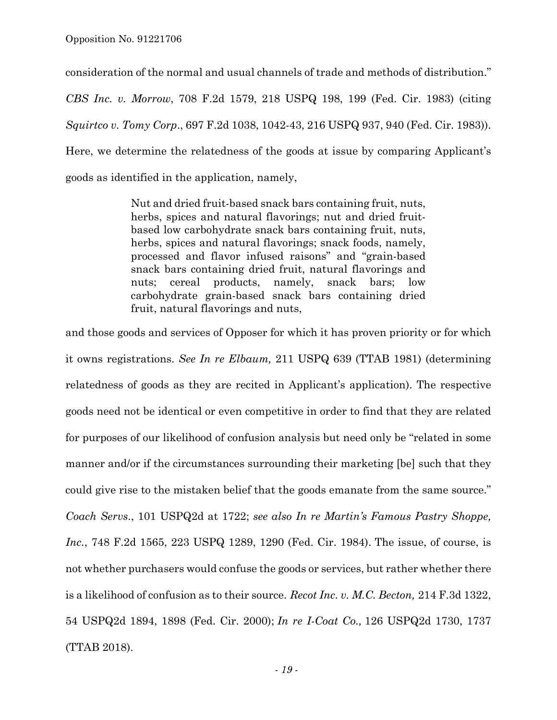consideration of the normal and usual channels of trade and methods of distribution." *CBS Inc. v. Morrow*, 708 F.2d 1579, 218 USPQ 198, 199 (Fed. Cir. 1983) (citing *Squirtco v. Tomy Corp*., 697 F.2d 1038, 1042-43, 216 USPQ 937, 940 (Fed. Cir. 1983)). Here, we determine the relatedness of the goods at issue by comparing Applicant's goods as identified in the application, namely,

> Nut and dried fruit-based snack bars containing fruit, nuts, herbs, spices and natural flavorings; nut and dried fruitbased low carbohydrate snack bars containing fruit, nuts, herbs, spices and natural flavorings; snack foods, namely, processed and flavor infused raisons" and "grain-based snack bars containing dried fruit, natural flavorings and nuts; cereal products, namely, snack bars; low carbohydrate grain-based snack bars containing dried fruit, natural flavorings and nuts,

and those goods and services of Opposer for which it has proven priority or for which it owns registrations. *See In re Elbaum,* 211 USPQ 639 (TTAB 1981) (determining relatedness of goods as they are recited in Applicant's application). The respective goods need not be identical or even competitive in order to find that they are related for purposes of our likelihood of confusion analysis but need only be "related in some manner and/or if the circumstances surrounding their marketing [be] such that they could give rise to the mistaken belief that the goods emanate from the same source." *Coach Servs*., 101 USPQ2d at 1722; *see also In re Martin's Famous Pastry Shoppe, Inc.*, 748 F.2d 1565, 223 USPQ 1289, 1290 (Fed. Cir. 1984). The issue, of course, is not whether purchasers would confuse the goods or services, but rather whether there is a likelihood of confusion as to their source. *Recot Inc. v. M.C. Becton,* 214 F.3d 1322, 54 USPQ2d 1894, 1898 (Fed. Cir. 2000); *In re I-Coat Co.,* 126 USPQ2d 1730, 1737 (TTAB 2018).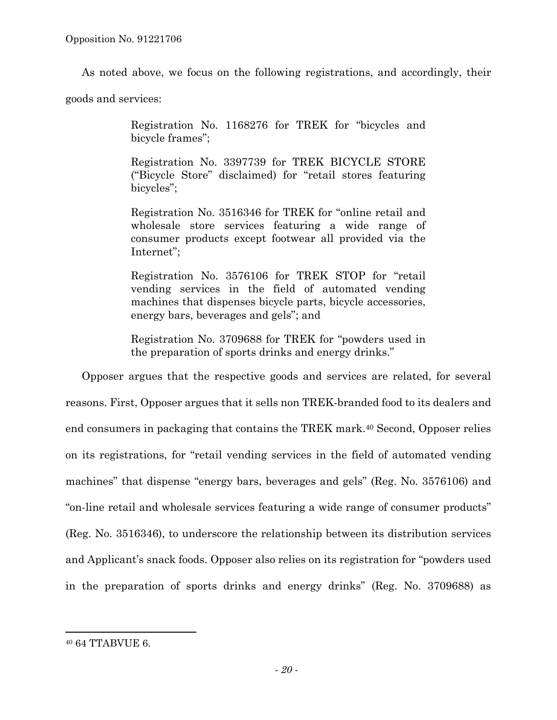As noted above, we focus on the following registrations, and accordingly, their

goods and services:

Registration No. 1168276 for TREK for "bicycles and bicycle frames";

Registration No. 3397739 for TREK BICYCLE STORE ("Bicycle Store" disclaimed) for "retail stores featuring bicycles";

Registration No. 3516346 for TREK for "online retail and wholesale store services featuring a wide range of consumer products except footwear all provided via the Internet";

Registration No. 3576106 for TREK STOP for "retail vending services in the field of automated vending machines that dispenses bicycle parts, bicycle accessories, energy bars, beverages and gels"; and

Registration No. 3709688 for TREK for "powders used in the preparation of sports drinks and energy drinks."

Opposer argues that the respective goods and services are related, for several reasons. First, Opposer argues that it sells non TREK-branded food to its dealers and end consumers in packaging that contains the TREK mark.40 Second, Opposer relies on its registrations, for "retail vending services in the field of automated vending machines" that dispense "energy bars, beverages and gels" (Reg. No. 3576106) and "on-line retail and wholesale services featuring a wide range of consumer products" (Reg. No. 3516346), to underscore the relationship between its distribution services and Applicant's snack foods. Opposer also relies on its registration for "powders used in the preparation of sports drinks and energy drinks" (Reg. No. 3709688) as

1

<sup>40 64</sup> TTABVUE 6.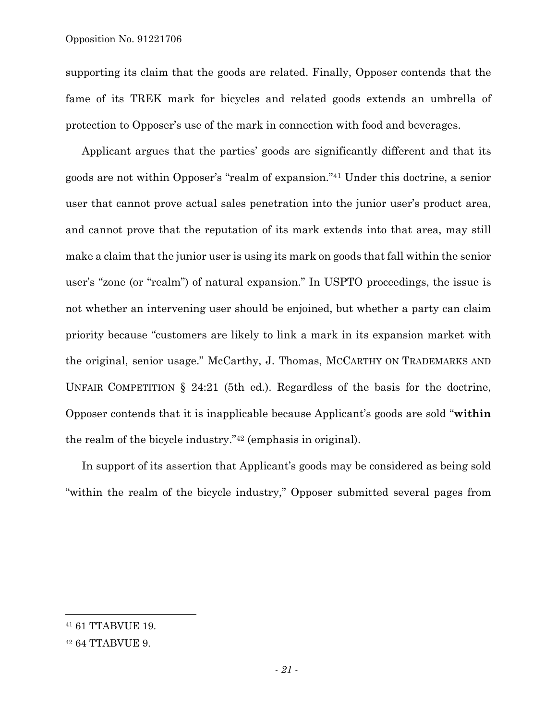supporting its claim that the goods are related. Finally, Opposer contends that the fame of its TREK mark for bicycles and related goods extends an umbrella of protection to Opposer's use of the mark in connection with food and beverages.

Applicant argues that the parties' goods are significantly different and that its goods are not within Opposer's "realm of expansion."41 Under this doctrine, a senior user that cannot prove actual sales penetration into the junior user's product area, and cannot prove that the reputation of its mark extends into that area, may still make a claim that the junior user is using its mark on goods that fall within the senior user's "zone (or "realm") of natural expansion." In USPTO proceedings, the issue is not whether an intervening user should be enjoined, but whether a party can claim priority because "customers are likely to link a mark in its expansion market with the original, senior usage." McCarthy, J. Thomas, MCCARTHY ON TRADEMARKS AND UNFAIR COMPETITION § 24:21 (5th ed.). Regardless of the basis for the doctrine, Opposer contends that it is inapplicable because Applicant's goods are sold "**within** the realm of the bicycle industry."42 (emphasis in original).

In support of its assertion that Applicant's goods may be considered as being sold "within the realm of the bicycle industry," Opposer submitted several pages from

<sup>41 61</sup> TTABVUE 19.

<sup>42 64</sup> TTABVUE 9.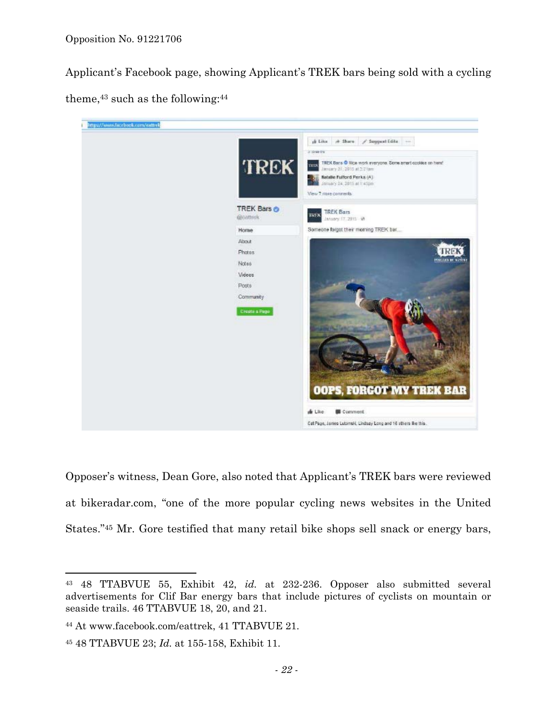Applicant's Facebook page, showing Applicant's TREK bars being sold with a cycling theme,43 such as the following:44



Opposer's witness, Dean Gore, also noted that Applicant's TREK bars were reviewed at bikeradar.com, "one of the more popular cycling news websites in the United States."45 Mr. Gore testified that many retail bike shops sell snack or energy bars,

<sup>43 48</sup> TTABVUE 55, Exhibit 42, *id.* at 232-236. Opposer also submitted several advertisements for Clif Bar energy bars that include pictures of cyclists on mountain or seaside trails. 46 TTABVUE 18, 20, and 21.

<sup>44</sup> At www.facebook.com/eattrek, 41 TTABVUE 21.

<sup>45 48</sup> TTABVUE 23; *Id.* at 155-158, Exhibit 11.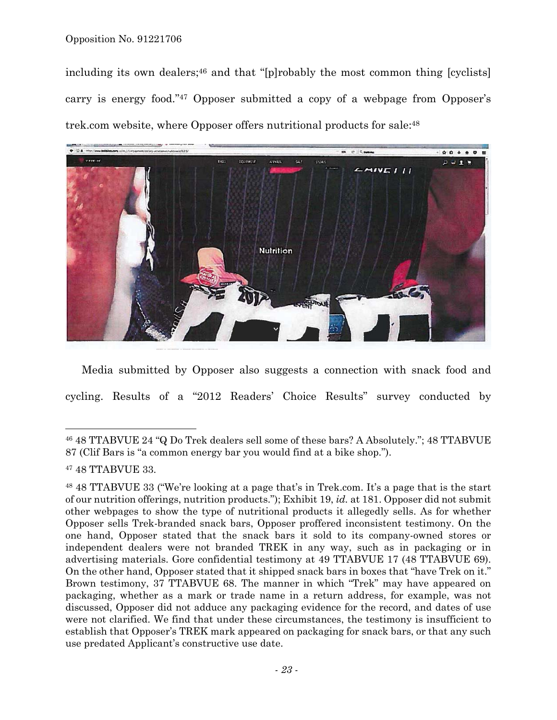#### Opposition No. 91221706

including its own dealers;<sup>46</sup> and that "[p]robably the most common thing [cyclists] carry is energy food."47 Opposer submitted a copy of a webpage from Opposer's trek.com website, where Opposer offers nutritional products for sale:48



Media submitted by Opposer also suggests a connection with snack food and cycling. Results of a "2012 Readers' Choice Results" survey conducted by

1

<sup>46 48</sup> TTABVUE 24 "Q Do Trek dealers sell some of these bars? A Absolutely."; 48 TTABVUE 87 (Clif Bars is "a common energy bar you would find at a bike shop.").

<sup>47 48</sup> TTABVUE 33.

<sup>48 48</sup> TTABVUE 33 ("We're looking at a page that's in Trek.com. It's a page that is the start of our nutrition offerings, nutrition products."); Exhibit 19, *id.* at 181. Opposer did not submit other webpages to show the type of nutritional products it allegedly sells. As for whether Opposer sells Trek-branded snack bars, Opposer proffered inconsistent testimony. On the one hand, Opposer stated that the snack bars it sold to its company-owned stores or independent dealers were not branded TREK in any way, such as in packaging or in advertising materials. Gore confidential testimony at 49 TTABVUE 17 (48 TTABVUE 69). On the other hand, Opposer stated that it shipped snack bars in boxes that "have Trek on it." Brown testimony, 37 TTABVUE 68. The manner in which "Trek" may have appeared on packaging, whether as a mark or trade name in a return address, for example, was not discussed, Opposer did not adduce any packaging evidence for the record, and dates of use were not clarified. We find that under these circumstances, the testimony is insufficient to establish that Opposer's TREK mark appeared on packaging for snack bars, or that any such use predated Applicant's constructive use date.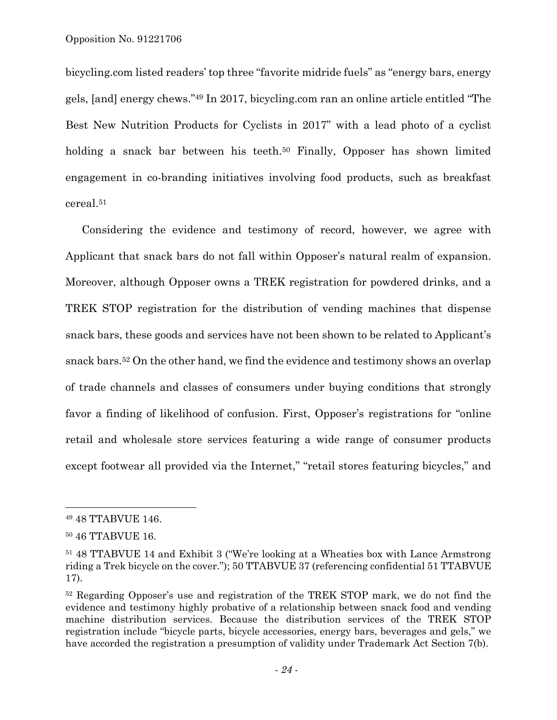bicycling.com listed readers' top three "favorite midride fuels" as "energy bars, energy gels, [and] energy chews."49 In 2017, bicycling.com ran an online article entitled "The Best New Nutrition Products for Cyclists in 2017" with a lead photo of a cyclist holding a snack bar between his teeth.<sup>50</sup> Finally, Opposer has shown limited engagement in co-branding initiatives involving food products, such as breakfast cereal.51

Considering the evidence and testimony of record, however, we agree with Applicant that snack bars do not fall within Opposer's natural realm of expansion. Moreover, although Opposer owns a TREK registration for powdered drinks, and a TREK STOP registration for the distribution of vending machines that dispense snack bars, these goods and services have not been shown to be related to Applicant's snack bars.52 On the other hand, we find the evidence and testimony shows an overlap of trade channels and classes of consumers under buying conditions that strongly favor a finding of likelihood of confusion. First, Opposer's registrations for "online retail and wholesale store services featuring a wide range of consumer products except footwear all provided via the Internet," "retail stores featuring bicycles," and

1

<sup>49 48</sup> TTABVUE 146.

<sup>50 46</sup> TTABVUE 16.

<sup>51 48</sup> TTABVUE 14 and Exhibit 3 ("We're looking at a Wheaties box with Lance Armstrong riding a Trek bicycle on the cover."); 50 TTABVUE 37 (referencing confidential 51 TTABVUE 17).

<sup>52</sup> Regarding Opposer's use and registration of the TREK STOP mark, we do not find the evidence and testimony highly probative of a relationship between snack food and vending machine distribution services. Because the distribution services of the TREK STOP registration include "bicycle parts, bicycle accessories, energy bars, beverages and gels," we have accorded the registration a presumption of validity under Trademark Act Section 7(b).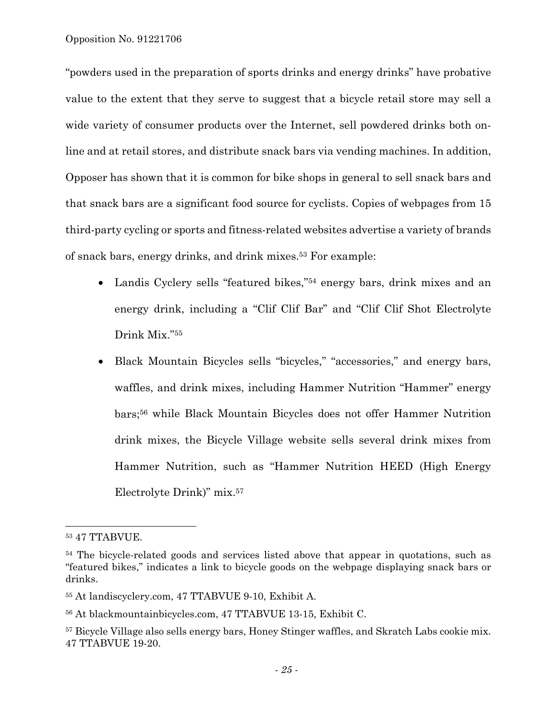"powders used in the preparation of sports drinks and energy drinks" have probative value to the extent that they serve to suggest that a bicycle retail store may sell a wide variety of consumer products over the Internet, sell powdered drinks both online and at retail stores, and distribute snack bars via vending machines. In addition, Opposer has shown that it is common for bike shops in general to sell snack bars and that snack bars are a significant food source for cyclists. Copies of webpages from 15 third-party cycling or sports and fitness-related websites advertise a variety of brands of snack bars, energy drinks, and drink mixes.53 For example:

- Landis Cyclery sells "featured bikes,"54 energy bars, drink mixes and an energy drink, including a "Clif Clif Bar" and "Clif Clif Shot Electrolyte Drink Mix."55
- Black Mountain Bicycles sells "bicycles," "accessories," and energy bars, waffles, and drink mixes, including Hammer Nutrition "Hammer" energy bars;56 while Black Mountain Bicycles does not offer Hammer Nutrition drink mixes, the Bicycle Village website sells several drink mixes from Hammer Nutrition, such as "Hammer Nutrition HEED (High Energy Electrolyte Drink)" mix.57

<sup>53 47</sup> TTABVUE.

<sup>&</sup>lt;sup>54</sup> The bicycle-related goods and services listed above that appear in quotations, such as "featured bikes," indicates a link to bicycle goods on the webpage displaying snack bars or drinks.

<sup>55</sup> At landiscyclery.com, 47 TTABVUE 9-10, Exhibit A.

<sup>56</sup> At blackmountainbicycles.com, 47 TTABVUE 13-15, Exhibit C.

<sup>&</sup>lt;sup>57</sup> Bicycle Village also sells energy bars, Honey Stinger waffles, and Skratch Labs cookie mix. 47 TTABVUE 19-20.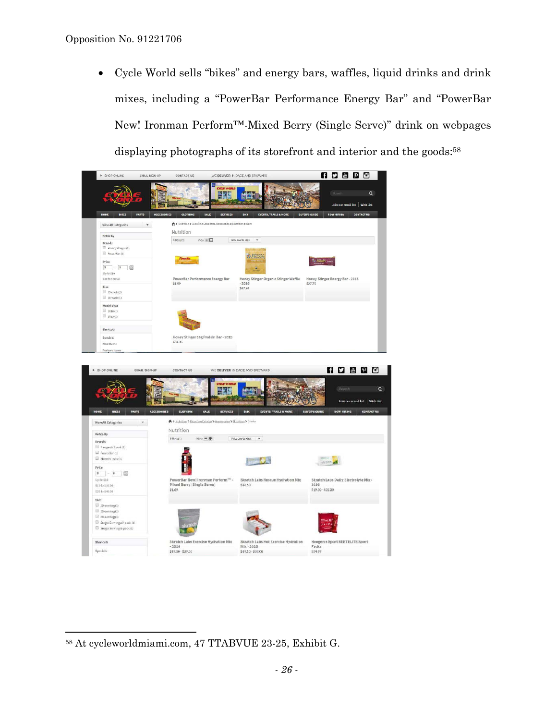• Cycle World sells "bikes" and energy bars, waffles, liquid drinks and drink mixes, including a "PowerBar Performance Energy Bar" and "PowerBar New! Ironman Perform™-Mixed Berry (Single Serve)" drink on webpages displaying photographs of its storefront and interior and the goods:<sup>58</sup>



<sup>58</sup> At cycleworldmiami.com, 47 TTABVUE 23-25, Exhibit G.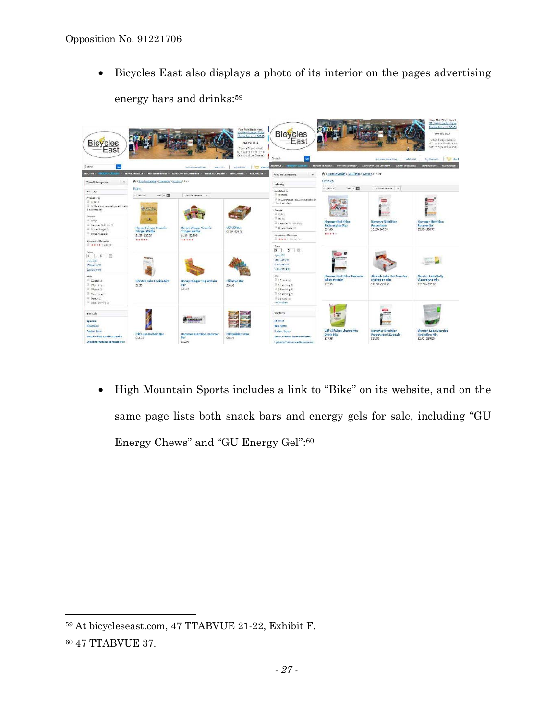• Bicycles East also displays a photo of its interior on the pages advertising energy bars and drinks:59

|                                                                                             | Joln car emailing                                                         | <b>Your Ride Storts Here!</b><br>351 New London Toke<br>Olastenbury, CT 86545<br>RG-599-0114<br><b>My Assourt</b> | Bicycles<br>East<br>Seerch                                                                                                                                                     |                                                                                                                                                                                                                                                                                                                                           | Joln que amaissant<br><b>Mitch List</b>                                | Objetenbury CT 55541<br>100405-003<br>Open a Dolo o Wook<br>M. T.W. P. 10-8 Th: 10-6<br>Set to-5 (Sun: Closed)<br><b>Cart</b><br>My Account                                                            |
|---------------------------------------------------------------------------------------------|---------------------------------------------------------------------------|-------------------------------------------------------------------------------------------------------------------|--------------------------------------------------------------------------------------------------------------------------------------------------------------------------------|-------------------------------------------------------------------------------------------------------------------------------------------------------------------------------------------------------------------------------------------------------------------------------------------------------------------------------------------|------------------------------------------------------------------------|--------------------------------------------------------------------------------------------------------------------------------------------------------------------------------------------------------|
|                                                                                             |                                                                           |                                                                                                                   | Wew fill Categories                                                                                                                                                            |                                                                                                                                                                                                                                                                                                                                           |                                                                        |                                                                                                                                                                                                        |
| Bars                                                                                        |                                                                           |                                                                                                                   | teling by                                                                                                                                                                      | LK Has Mc<br>Van II EL<br>Commertedom W                                                                                                                                                                                                                                                                                                   |                                                                        |                                                                                                                                                                                                        |
| Verile Fil<br><b>LERALING</b>                                                               | Cartonardectors W                                                         |                                                                                                                   | U is seen.<br>ill in Wenthelians-Kaustry scallable in<br>16.cineco del                                                                                                         |                                                                                                                                                                                                                                                                                                                                           |                                                                        |                                                                                                                                                                                                        |
| <b>SATURA</b><br>2.<br>Honey Stinger Organic<br><b>Stinger Waffle</b><br>51.39 - 527.24<br> | <b>Honey Stinger Organic</b><br><b>Stinger Waffle</b><br>51.39-522.99<br> | Clif Clif Bar<br>\$179-\$25.00                                                                                    | Brande<br>III circui<br>IF BUILD<br>El memmer laubition (7)<br>Di SystemLabs (4)<br>Languer or Daviesus<br>$\mathbb{R}$ <b>*****</b> avenue                                    | 200<br><b>Hammer Nutrition</b><br>Enduralytics Fizz<br>559.40<br>1.1.1.1                                                                                                                                                                                                                                                                  | <b>Hammer Nutrition</b><br>Perpetuem<br>5325-54995                     | <b>Hammer Nutrition</b><br>Recoverite<br>\$3.50 - \$58.99                                                                                                                                              |
| <b>Maries</b><br><b>Side</b><br>Skratch Labs Cookie Mix<br>68.95                            | Honey Stinger 10g Protein<br>Bar<br>\$34.37                               | clif Mojo Bar<br>556.68                                                                                           | $5 - 5$<br>Opto 857<br>310 to 319.99<br>S20 to 043.93<br>CSD to 3124.9E<br>Six<br>IF 12 pock (1)<br>E sterving it<br><sup>12</sup> Skanning (L)<br><sup>El</sup> inserving is: | <b>Hammer Notrition Hammer</b><br>Whey Protein<br>29992                                                                                                                                                                                                                                                                                   | Skratch Labs Hot Exarcise<br><b>Hydration Mix</b><br>\$19.50 - \$39.00 | Skratch Labs Daley<br>Electrolyte Mix<br>\$1950.51500                                                                                                                                                  |
|                                                                                             | <b>G WANNER BAR</b>                                                       |                                                                                                                   | shortcuts.<br>Specials<br><b>Bett Heme</b><br><b>Techure Itorio</b>                                                                                                            | <b>Clif Clif Shot Electrolyte</b>                                                                                                                                                                                                                                                                                                         | <b>Hammer Nutrition</b>                                                | Skratch Labs Exercise<br>Hydration Mix                                                                                                                                                                 |
|                                                                                             | Clif Luna Protein Bar<br>\$14.95                                          | We a Banding Catalog a Accessories a Hudricky a Dark<br><b>Hammer Nutrition Hammer</b><br>Bar<br>\$30.00          | <b>Mash List</b><br>Clif Builder's Bar<br>\$18.75                                                                                                                              | Open 6 Days a Week<br>M. T. W. F: 10-6 Th: 10-6<br>Set 10-5 (Sun: Closed)<br>Cart (6<br>ARDUELS / INDUCTURILLE / REFAR SERVICES / PITTING SERVICES / ARABICACT & COMMUNITY / ENRUS & CLASSES / ENPLOYMENT / RESCURICES /<br>Availability<br>Price<br>124-peck (2)<br>Sprin Car Racios and Accessories<br>Lydeops Trainers and Accassories | Drinks<br>Drink Hix<br>\$19.99                                         | NUUTIS: "DOOD" COMUN / REPAR SENICES / HITINGSENDERS / ARABCACT&COMMUNIY / THERES & CARSES / RESORRES /<br>A > Distring Catalog > Account from > Indetern > Division<br>Perpetuem (12-pack)<br>\$29.00 |

• High Mountain Sports includes a link to "Bike" on its website, and on the same page lists both snack bars and energy gels for sale, including "GU Energy Chews" and "GU Energy Gel":60

 $\overline{a}$ 59 At bicycleseast.com, 47 TTABVUE 21-22, Exhibit F.

<sup>60 47</sup> TTABVUE 37.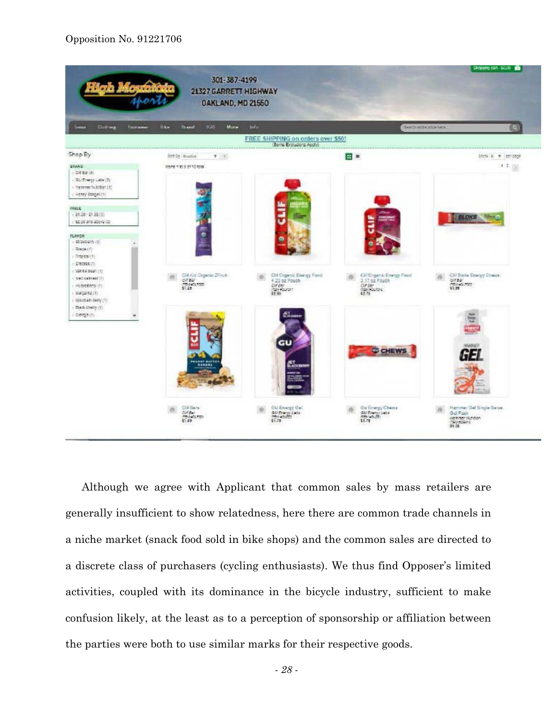#### Opposition No. 91221706



Although we agree with Applicant that common sales by mass retailers are generally insufficient to show relatedness, here there are common trade channels in a niche market (snack food sold in bike shops) and the common sales are directed to a discrete class of purchasers (cycling enthusiasts). We thus find Opposer's limited activities, coupled with its dominance in the bicycle industry, sufficient to make confusion likely, at the least as to a perception of sponsorship or affiliation between the parties were both to use similar marks for their respective goods.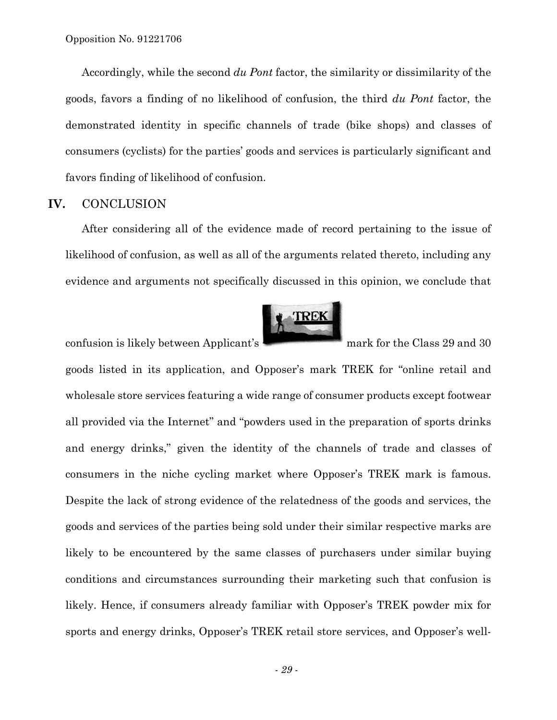Accordingly, while the second *du Pont* factor, the similarity or dissimilarity of the goods, favors a finding of no likelihood of confusion, the third *du Pont* factor, the demonstrated identity in specific channels of trade (bike shops) and classes of consumers (cyclists) for the parties' goods and services is particularly significant and favors finding of likelihood of confusion.

#### **IV.** CONCLUSION

After considering all of the evidence made of record pertaining to the issue of likelihood of confusion, as well as all of the arguments related thereto, including any evidence and arguments not specifically discussed in this opinion, we conclude that



confusion is likely between Applicant's mark for the Class 29 and 30

goods listed in its application, and Opposer's mark TREK for "online retail and wholesale store services featuring a wide range of consumer products except footwear all provided via the Internet" and "powders used in the preparation of sports drinks and energy drinks," given the identity of the channels of trade and classes of consumers in the niche cycling market where Opposer's TREK mark is famous. Despite the lack of strong evidence of the relatedness of the goods and services, the goods and services of the parties being sold under their similar respective marks are likely to be encountered by the same classes of purchasers under similar buying conditions and circumstances surrounding their marketing such that confusion is likely. Hence, if consumers already familiar with Opposer's TREK powder mix for sports and energy drinks, Opposer's TREK retail store services, and Opposer's well